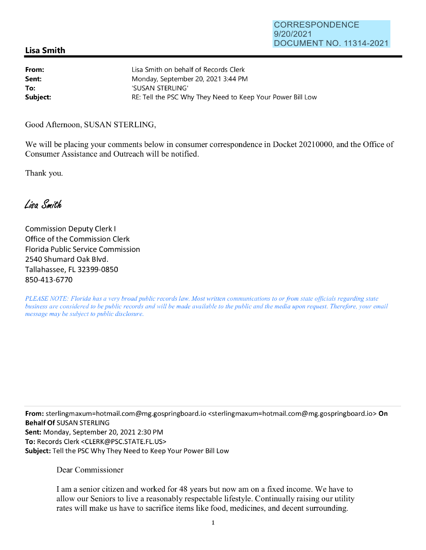## **Lisa Smith**

| From:    | Lisa Smith on behalf of Records Clerk                      |
|----------|------------------------------------------------------------|
| Sent:    | Monday, September 20, 2021 3:44 PM                         |
| To:      | 'SUSAN STERLING'                                           |
| Subject: | RE: Tell the PSC Why They Need to Keep Your Power Bill Low |

Good Afternoon, SUSAN STERLING,

We will be placing your comments below in consumer correspondence in Docket 20210000, and the Office of Consumer Assistance and Outreach will be notified.

Thank you.

Lisa Smith

Commission Deputy Clerk I Office of the Commission Clerk Florida Public Service Commission 2540 Shumard Oak Blvd. Tallahassee, FL 32399-0850 850-413-6770

*PLEASE NOTE: Florida has a very broad public records law. Most written communications to or from state officials regarding state business are considered to be public records and will be made available to the public and the media upon request. Therefore, your email message may be subject to public disclosure.* 

**From:** sterlingmaxum=hotmail.com@mg.gospringboard.io <sterlingmaxum=hotmail.com@mg.gospringboard.io> **On Behalf Of** SUSAN STERLING **Sent:** Monday, September 20, 2021 2:30 PM **To:** Records Clerk <CLERK@PSC.STATE.FL.US> **Subject:** Tell the PSC Why They Need to Keep Your Power Bill Low

Dear Commissioner

I am a senior citizen and worked for 48 years but now am on a fixed income. We have to allow our Seniors to live a reasonably respectable lifestyle. Continually raising our utility rates will make us have to sacrifice items like food, medicines, and decent surrounding.